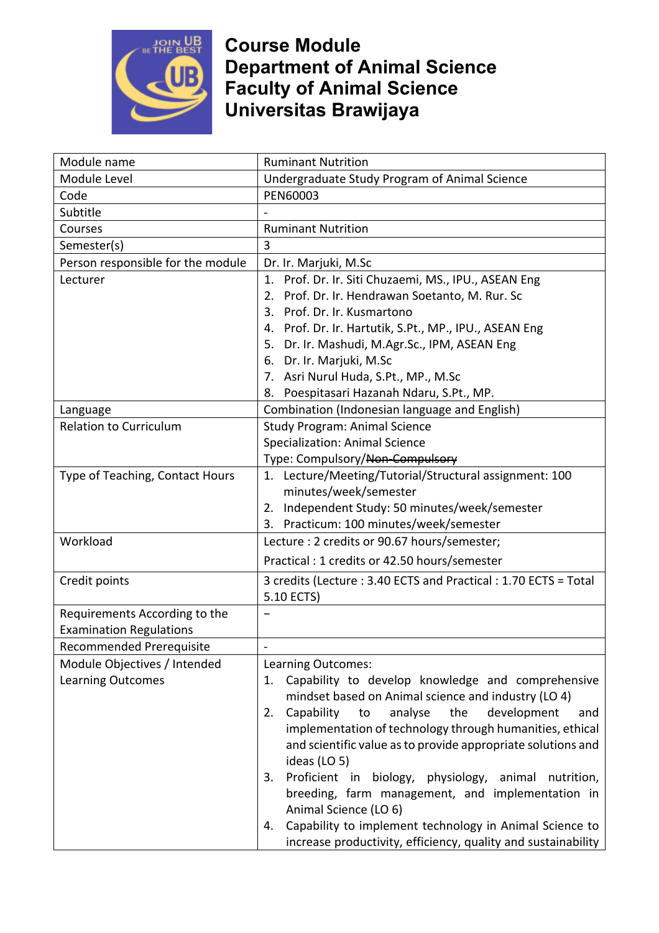

## **Course Module Department of Animal Science Faculty of Animal Science Universitas Brawijaya**

| Module name                       | <b>Ruminant Nutrition</b>                                                    |
|-----------------------------------|------------------------------------------------------------------------------|
| Module Level                      | Undergraduate Study Program of Animal Science                                |
| Code                              | PEN60003                                                                     |
| Subtitle                          |                                                                              |
| Courses                           | <b>Ruminant Nutrition</b>                                                    |
| Semester(s)                       | 3                                                                            |
| Person responsible for the module | Dr. Ir. Marjuki, M.Sc                                                        |
| Lecturer                          | 1. Prof. Dr. Ir. Siti Chuzaemi, MS., IPU., ASEAN Eng                         |
|                                   | Prof. Dr. Ir. Hendrawan Soetanto, M. Rur. Sc<br>2.                           |
|                                   | 3. Prof. Dr. Ir. Kusmartono                                                  |
|                                   | 4. Prof. Dr. Ir. Hartutik, S.Pt., MP., IPU., ASEAN Eng                       |
|                                   | 5. Dr. Ir. Mashudi, M.Agr.Sc., IPM, ASEAN Eng                                |
|                                   | 6. Dr. Ir. Marjuki, M.Sc                                                     |
|                                   | 7. Asri Nurul Huda, S.Pt., MP., M.Sc                                         |
|                                   | Poespitasari Hazanah Ndaru, S.Pt., MP.<br>8.                                 |
| Language                          | Combination (Indonesian language and English)                                |
| <b>Relation to Curriculum</b>     | <b>Study Program: Animal Science</b>                                         |
|                                   | <b>Specialization: Animal Science</b>                                        |
|                                   | Type: Compulsory/Non-Compulsory                                              |
| Type of Teaching, Contact Hours   | 1. Lecture/Meeting/Tutorial/Structural assignment: 100                       |
|                                   | minutes/week/semester                                                        |
|                                   | 2. Independent Study: 50 minutes/week/semester                               |
|                                   | Practicum: 100 minutes/week/semester<br>3.                                   |
| Workload                          | Lecture : 2 credits or 90.67 hours/semester;                                 |
|                                   | Practical: 1 credits or 42.50 hours/semester                                 |
| Credit points                     | 3 credits (Lecture: 3.40 ECTS and Practical: 1.70 ECTS = Total               |
|                                   | 5.10 ECTS)                                                                   |
| Requirements According to the     |                                                                              |
| <b>Examination Regulations</b>    |                                                                              |
| Recommended Prerequisite          |                                                                              |
| Module Objectives / Intended      | Learning Outcomes:                                                           |
| <b>Learning Outcomes</b>          | Capability to develop knowledge and comprehensive<br>1.                      |
|                                   | mindset based on Animal science and industry (LO 4)                          |
|                                   | Capability<br>analyse<br>the<br>development<br>to<br>2.<br>and               |
|                                   | implementation of technology through humanities, ethical                     |
|                                   | and scientific value as to provide appropriate solutions and<br>ideas (LO 5) |
|                                   | Proficient in biology, physiology, animal nutrition,<br>3.                   |
|                                   | breeding, farm management, and implementation in                             |
|                                   | Animal Science (LO 6)                                                        |
|                                   | Capability to implement technology in Animal Science to<br>4.                |
|                                   | increase productivity, efficiency, quality and sustainability                |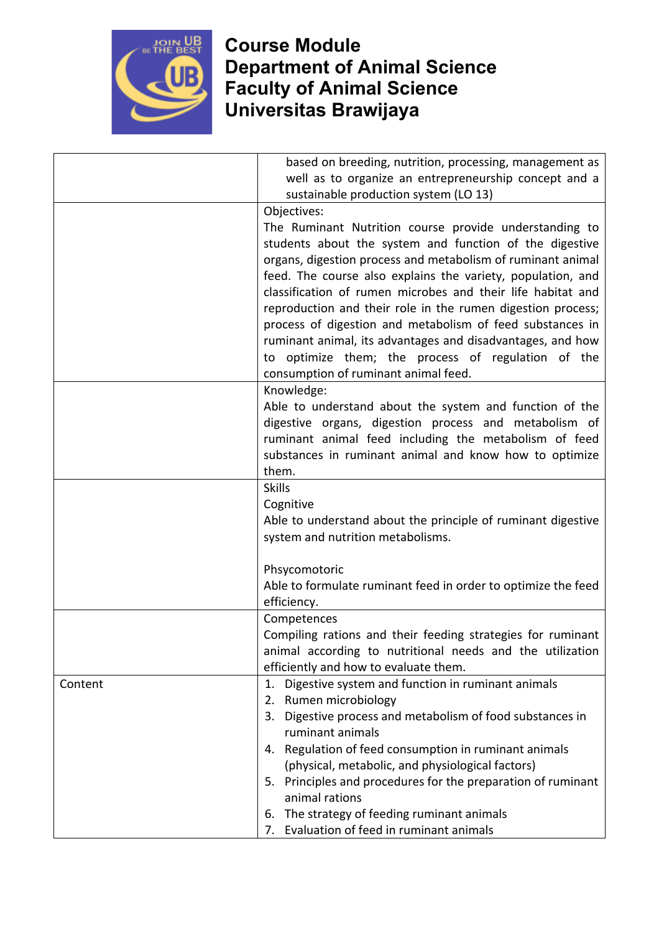

## **Course Module Department of Animal Science Faculty of Animal Science Universitas Brawijaya**

|         | based on breeding, nutrition, processing, management as       |
|---------|---------------------------------------------------------------|
|         | well as to organize an entrepreneurship concept and a         |
|         | sustainable production system (LO 13)                         |
|         | Objectives:                                                   |
|         | The Ruminant Nutrition course provide understanding to        |
|         | students about the system and function of the digestive       |
|         | organs, digestion process and metabolism of ruminant animal   |
|         | feed. The course also explains the variety, population, and   |
|         | classification of rumen microbes and their life habitat and   |
|         | reproduction and their role in the rumen digestion process;   |
|         | process of digestion and metabolism of feed substances in     |
|         | ruminant animal, its advantages and disadvantages, and how    |
|         | to optimize them; the process of regulation of the            |
|         | consumption of ruminant animal feed.                          |
|         | Knowledge:                                                    |
|         | Able to understand about the system and function of the       |
|         | digestive organs, digestion process and metabolism of         |
|         | ruminant animal feed including the metabolism of feed         |
|         | substances in ruminant animal and know how to optimize        |
|         | them.                                                         |
|         | <b>Skills</b>                                                 |
|         | Cognitive                                                     |
|         | Able to understand about the principle of ruminant digestive  |
|         | system and nutrition metabolisms.                             |
|         | Phsycomotoric                                                 |
|         | Able to formulate ruminant feed in order to optimize the feed |
|         | efficiency.                                                   |
|         | Competences                                                   |
|         | Compiling rations and their feeding strategies for ruminant   |
|         | animal according to nutritional needs and the utilization     |
|         | efficiently and how to evaluate them.                         |
| Content | Digestive system and function in ruminant animals<br>1.       |
|         | Rumen microbiology<br>2.                                      |
|         | Digestive process and metabolism of food substances in<br>3.  |
|         | ruminant animals                                              |
|         | 4. Regulation of feed consumption in ruminant animals         |
|         | (physical, metabolic, and physiological factors)              |
|         | 5. Principles and procedures for the preparation of ruminant  |
|         | animal rations                                                |
|         | 6. The strategy of feeding ruminant animals                   |
|         | 7. Evaluation of feed in ruminant animals                     |